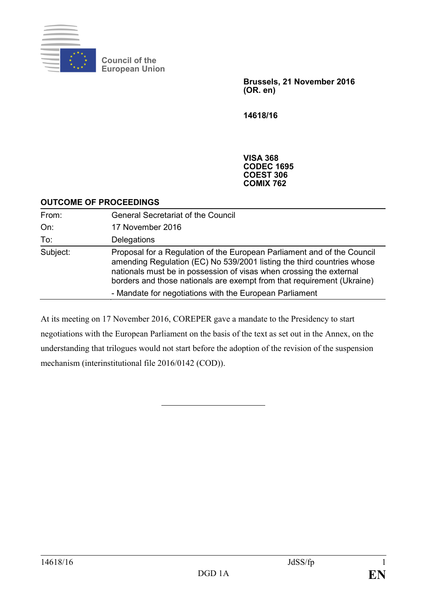

**Council of the European Union**

> **Brussels, 21 November 2016 (OR. en)**

**14618/16**

**VISA 368 CODEC 1695 COEST 306 COMIX 762**

#### **OUTCOME OF PROCEEDINGS**

| From:    | <b>General Secretariat of the Council</b>                                                                                                                                                                                                                                                                                                                     |
|----------|---------------------------------------------------------------------------------------------------------------------------------------------------------------------------------------------------------------------------------------------------------------------------------------------------------------------------------------------------------------|
| On:      | 17 November 2016                                                                                                                                                                                                                                                                                                                                              |
| To:      | Delegations                                                                                                                                                                                                                                                                                                                                                   |
| Subject: | Proposal for a Regulation of the European Parliament and of the Council<br>amending Regulation (EC) No 539/2001 listing the third countries whose<br>nationals must be in possession of visas when crossing the external<br>borders and those nationals are exempt from that requirement (Ukraine)<br>- Mandate for negotiations with the European Parliament |

At its meeting on 17 November 2016, COREPER gave a mandate to the Presidency to start negotiations with the European Parliament on the basis of the text as set out in the Annex, on the understanding that trilogues would not start before the adoption of the revision of the suspension mechanism (interinstitutional file 2016/0142 (COD)).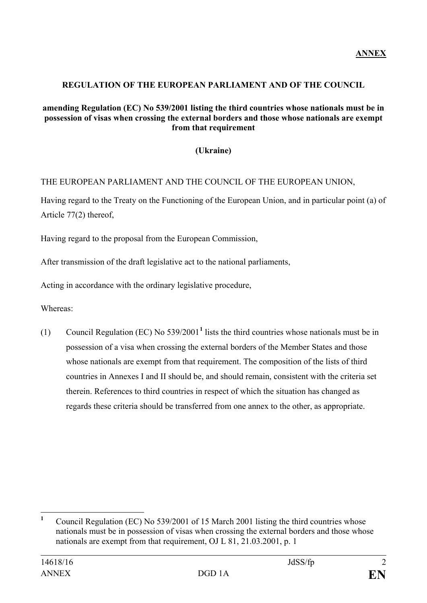## **REGULATION OF THE EUROPEAN PARLIAMENT AND OF THE COUNCIL**

#### **amending Regulation (EC) No 539/2001 listing the third countries whose nationals must be in possession of visas when crossing the external borders and those whose nationals are exempt from that requirement**

# **(Ukraine)**

# THE EUROPEAN PARLIAMENT AND THE COUNCIL OF THE EUROPEAN UNION,

Having regard to the Treaty on the Functioning of the European Union, and in particular point (a) of Article 77(2) thereof,

Having regard to the proposal from the European Commission,

After transmission of the draft legislative act to the national parliaments,

Acting in accordance with the ordinary legislative procedure,

Whereas:

(1) Council Regulation (EC) No 539/2001**[1](#page-1-0)** lists the third countries whose nationals must be in possession of a visa when crossing the external borders of the Member States and those whose nationals are exempt from that requirement. The composition of the lists of third countries in Annexes I and II should be, and should remain, consistent with the criteria set therein. References to third countries in respect of which the situation has changed as regards these criteria should be transferred from one annex to the other, as appropriate.

<span id="page-1-0"></span>**<sup>1</sup>** Council Regulation (EC) No 539/2001 of 15 March 2001 listing the third countries whose nationals must be in possession of visas when crossing the external borders and those whose nationals are exempt from that requirement, OJ L 81, 21.03.2001, p. 1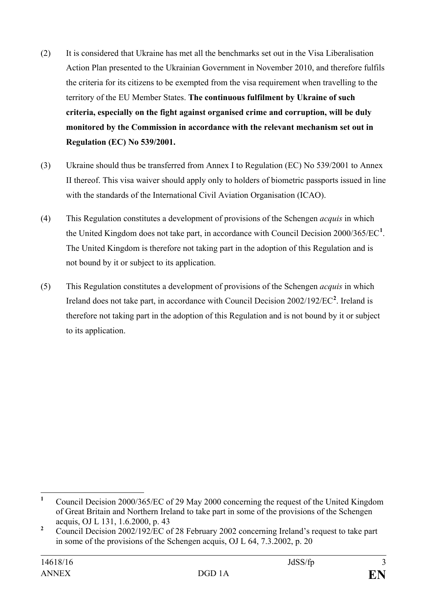- (2) It is considered that Ukraine has met all the benchmarks set out in the Visa Liberalisation Action Plan presented to the Ukrainian Government in November 2010, and therefore fulfils the criteria for its citizens to be exempted from the visa requirement when travelling to the territory of the EU Member States. **The continuous fulfilment by Ukraine of such criteria, especially on the fight against organised crime and corruption, will be duly monitored by the Commission in accordance with the relevant mechanism set out in Regulation (EC) No 539/2001.**
- (3) Ukraine should thus be transferred from Annex I to Regulation (EC) No 539/2001 to Annex II thereof. This visa waiver should apply only to holders of biometric passports issued in line with the standards of the International Civil Aviation Organisation (ICAO).
- (4) This Regulation constitutes a development of provisions of the Schengen *acquis* in which the United Kingdom does not take part, in accordance with Council Decision 2000/365/EC**[1](#page-2-0)** . The United Kingdom is therefore not taking part in the adoption of this Regulation and is not bound by it or subject to its application.
- (5) This Regulation constitutes a development of provisions of the Schengen *acquis* in which Ireland does not take part, in accordance with Council Decision [2](#page-2-1)002/192/EC<sup>2</sup>. Ireland is therefore not taking part in the adoption of this Regulation and is not bound by it or subject to its application.

<span id="page-2-0"></span>**<sup>1</sup>** Council Decision 2000/365/EC of 29 May 2000 concerning the request of the United Kingdom of Great Britain and Northern Ireland to take part in some of the provisions of the Schengen acquis, OJ L 131, 1.6.2000, p. 43

<span id="page-2-1"></span><sup>&</sup>lt;sup>2</sup> Council Decision 2002/192/EC of 28 February 2002 concerning Ireland's request to take part in some of the provisions of the Schengen acquis, OJ L 64, 7.3.2002, p. 20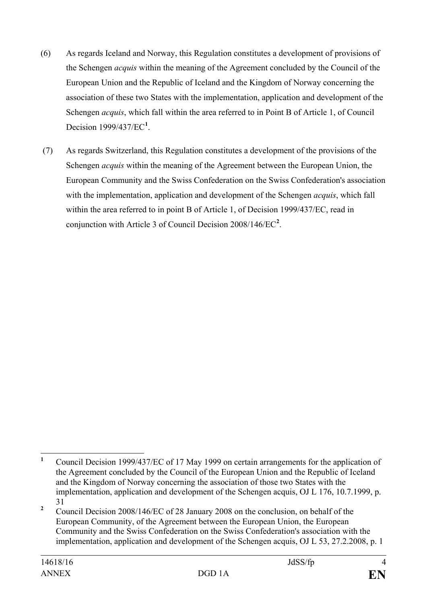- (6) As regards Iceland and Norway, this Regulation constitutes a development of provisions of the Schengen *acquis* within the meaning of the Agreement concluded by the Council of the European Union and the Republic of Iceland and the Kingdom of Norway concerning the association of these two States with the implementation, application and development of the Schengen *acquis*, which fall within the area referred to in Point B of Article 1, of Council Decision 1999/437/EC**[1](#page-3-0)** .
- (7) As regards Switzerland, this Regulation constitutes a development of the provisions of the Schengen *acquis* within the meaning of the Agreement between the European Union, the European Community and the Swiss Confederation on the Swiss Confederation's association with the implementation, application and development of the Schengen *acquis*, which fall within the area referred to in point B of Article 1, of Decision 1999/437/EC, read in conjunction with Article 3 of Council Decision 2008/146/EC**[2](#page-3-1)** .

<span id="page-3-0"></span>**<sup>1</sup>** Council Decision 1999/437/EC of 17 May 1999 on certain arrangements for the application of the Agreement concluded by the Council of the European Union and the Republic of Iceland and the Kingdom of Norway concerning the association of those two States with the implementation, application and development of the Schengen acquis, OJ L 176, 10.7.1999, p. 31

<span id="page-3-1"></span><sup>&</sup>lt;sup>2</sup> Council Decision 2008/146/EC of 28 January 2008 on the conclusion, on behalf of the European Community, of the Agreement between the European Union, the European Community and the Swiss Confederation on the Swiss Confederation's association with the implementation, application and development of the Schengen acquis, OJ L 53, 27.2.2008, p. 1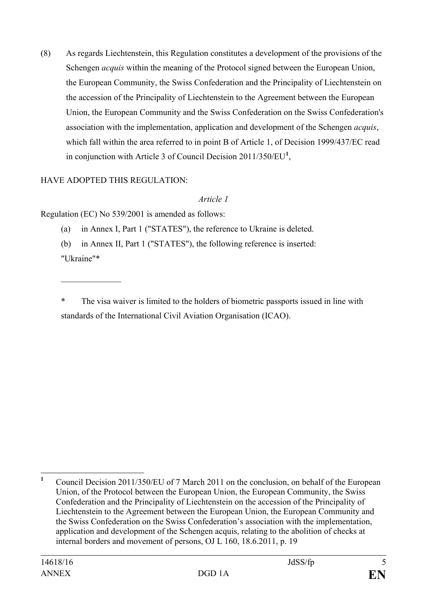(8) As regards Liechtenstein, this Regulation constitutes a development of the provisions of the Schengen *acquis* within the meaning of the Protocol signed between the European Union, the European Community, the Swiss Confederation and the Principality of Liechtenstein on the accession of the Principality of Liechtenstein to the Agreement between the European Union, the European Community and the Swiss Confederation on the Swiss Confederation's association with the implementation, application and development of the Schengen *acquis*, which fall within the area referred to in point B of Article 1, of Decision 1999/437/EC read in conjunction with Article 3 of Council Decision 2011/350/EU**[1](#page-4-0)** ,

# HAVE ADOPTED THIS REGULATION:

#### *Article 1*

Regulation (EC) No 539/2001 is amended as follows:

- (a) in Annex I, Part 1 ("STATES"), the reference to Ukraine is deleted.
- (b) in Annex II, Part 1 ("STATES"), the following reference is inserted:

"Ukraine"\*

 $\frac{1}{2}$  ,  $\frac{1}{2}$  ,  $\frac{1}{2}$  ,  $\frac{1}{2}$  ,  $\frac{1}{2}$  ,  $\frac{1}{2}$  ,  $\frac{1}{2}$ 

The visa waiver is limited to the holders of biometric passports issued in line with standards of the International Civil Aviation Organisation (ICAO).

<span id="page-4-0"></span><sup>&</sup>lt;sup>1</sup> Council Decision 2011/350/EU of 7 March 2011 on the conclusion, on behalf of the European Union, of the Protocol between the European Union, the European Community, the Swiss Confederation and the Principality of Liechtenstein on the accession of the Principality of Liechtenstein to the Agreement between the European Union, the European Community and the Swiss Confederation on the Swiss Confederation's association with the implementation, application and development of the Schengen acquis, relating to the abolition of checks at internal borders and movement of persons, OJ L 160, 18.6.2011, p. 19